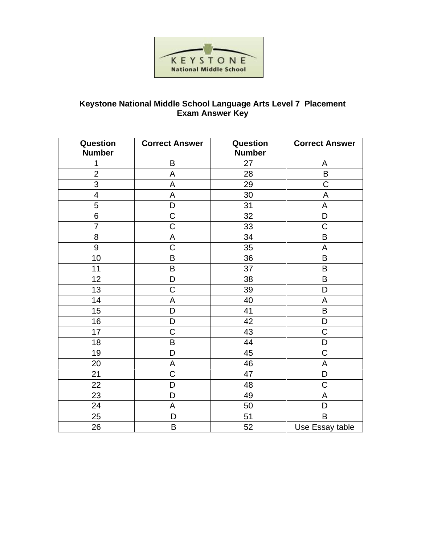

## **Keystone National Middle School Language Arts Level 7 Placement Exam Answer Key**

| Question<br><b>Number</b> | <b>Correct Answer</b> | Question<br><b>Number</b> | <b>Correct Answer</b> |
|---------------------------|-----------------------|---------------------------|-----------------------|
| 1                         | B                     | 27                        | A                     |
| $\overline{2}$            | A                     | 28                        | B                     |
| 3                         | A                     | 29                        | $\overline{C}$        |
| $\overline{4}$            | A                     | 30                        | A                     |
| 5                         | D                     | 31                        | A                     |
| 6                         | $\mathsf C$           | 32                        | D                     |
| $\overline{7}$            | $\overline{C}$        | 33                        | C                     |
| 8                         | $\mathsf A$           | 34                        | B                     |
| 9                         | $\overline{\text{C}}$ | 35                        | A                     |
| 10                        | B                     | 36                        | B                     |
| 11                        | $\sf B$               | 37                        | B                     |
| 12                        | D                     | 38                        | B                     |
| 13                        | $\overline{C}$        | 39                        | D                     |
| 14                        | A                     | 40                        | A                     |
| 15                        | D                     | 41                        | $\sf B$               |
| 16                        | D                     | 42                        | D                     |
| 17                        | $\mathsf C$           | 43                        | $\mathsf C$           |
| 18                        | B                     | 44                        | D                     |
| 19                        | D                     | 45                        | $\mathsf C$           |
| 20                        | A                     | 46                        | A                     |
| 21                        | $\overline{C}$        | 47                        | D                     |
| 22                        | D                     | 48                        | $\overline{C}$        |
| 23                        | D                     | 49                        | A                     |
| 24                        | A                     | 50                        | D                     |
| 25                        | D                     | 51                        | B                     |
| 26                        | B                     | 52                        | Use Essay table       |